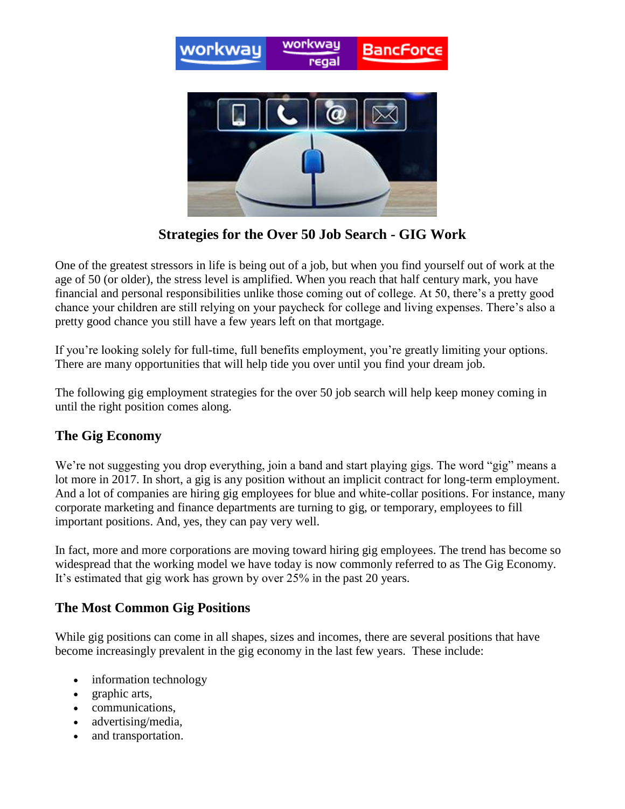

**Strategies for the Over 50 Job Search - GIG Work**

One of the greatest stressors in life is being out of a job, but when you find yourself out of work at the age of 50 (or older), the stress level is amplified. When you reach that half century mark, you have financial and personal responsibilities unlike those coming out of college. At 50, there's a pretty good chance your children are still relying on your paycheck for college and living expenses. There's also a pretty good chance you still have a few years left on that mortgage.

If you're looking solely for full-time, full benefits employment, you're greatly limiting your options. There are many opportunities that will help tide you over until you find your dream job.

The following gig employment strategies for the over 50 job search will help keep money coming in until the right position comes along.

## **The Gig Economy**

We're not suggesting you drop everything, join a band and start playing gigs. The word "gig" means a lot more in 2017. In short, a gig is any position without an implicit contract for long-term employment. And a lot of companies are hiring gig employees for blue and white-collar positions. For instance, many corporate marketing and finance departments are turning to gig, or temporary, employees to fill important positions. And, yes, they can pay very well.

In fact, more and more corporations are moving toward hiring gig employees. The trend has become so widespread that the working model we have today is now commonly referred to as The Gig Economy. It's estimated that gig work has grown by over 25% in the past 20 years.

## **The Most Common Gig Positions**

While gig positions can come in all shapes, sizes and incomes, there are several positions that have become increasingly prevalent in the gig economy in the last few years. These include:

- information technology
- graphic arts,
- communications,
- advertising/media,
- and transportation.